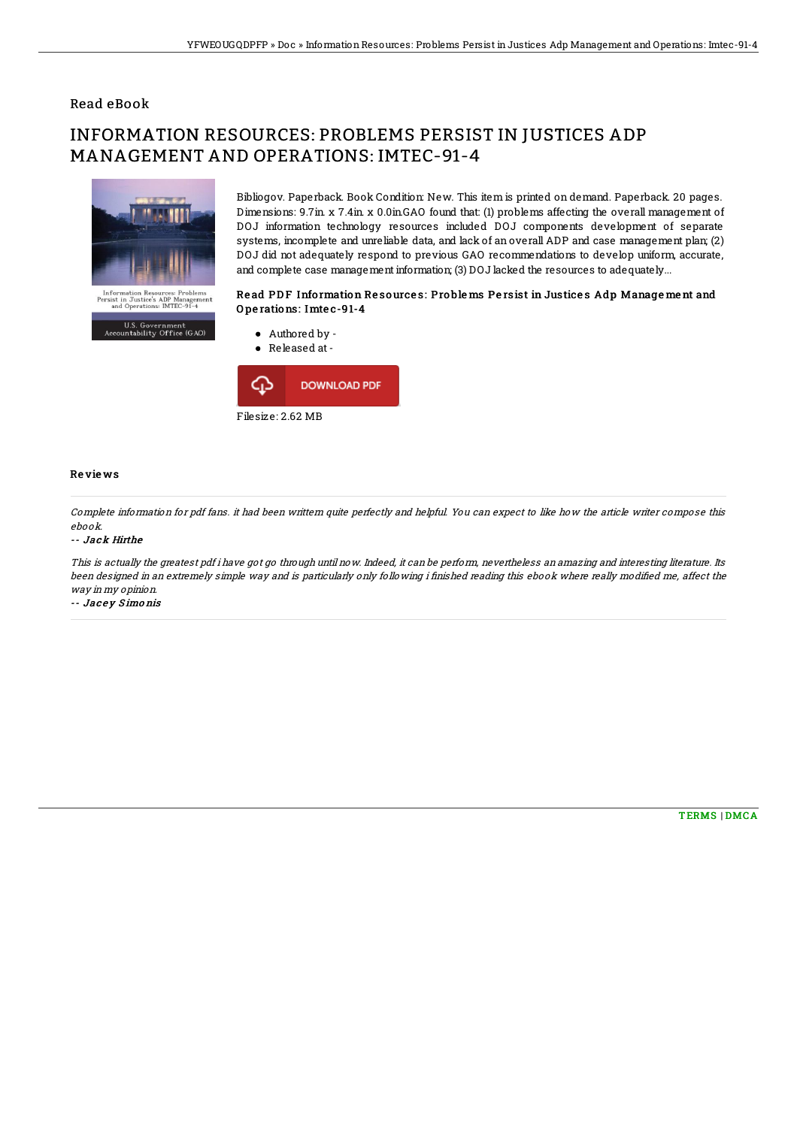## Read eBook

# INFORMATION RESOURCES: PROBLEMS PERSIST IN JUSTICES ADP MANAGEMENT AND OPERATIONS: IMTEC-91-4



U.S. Government<br>untability Office (GAO)

Bibliogov. Paperback. Book Condition: New. This item is printed on demand. Paperback. 20 pages. Dimensions: 9.7in. x 7.4in. x 0.0in.GAO found that: (1) problems affecting the overall management of DOJ information technology resources included DOJ components development of separate systems, incomplete and unreliable data, and lack of an overall ADP and case management plan; (2) DOJ did not adequately respond to previous GAO recommendations to develop uniform, accurate, and complete case management information; (3) DOJ lacked the resources to adequately...

### Read PDF Information Resources: Problems Persist in Justices Adp Management and O pe rations: Imte c-91-4



#### Re vie ws

Complete information for pdf fans. it had been writtern quite perfectly and helpful. You can expect to like how the article writer compose this ebook.

#### -- Jack Hirthe

This is actually the greatest pdf i have got go through until now. Indeed, it can be perform, nevertheless an amazing and interesting literature. Its been designed in an extremely simple way and is particularly only following i finished reading this ebook where really modified me, affect the way in my opinion.

-- Jacey Simonis